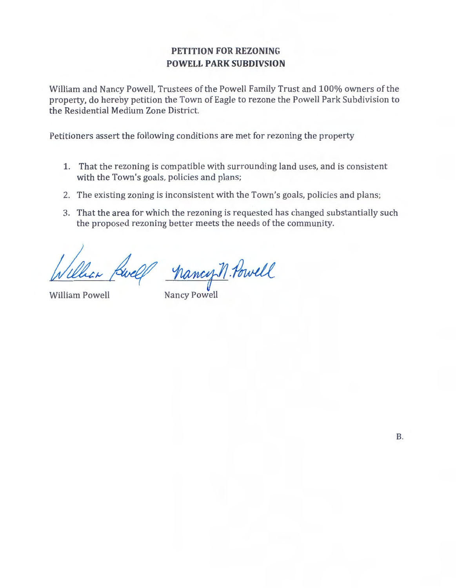## **PETITION FOR REZONING POWELL PARK SUBDIVSION**

William and Nancy Powell, Trustees of the Powell Family Trust and 100% owners of the property, do hereby petition the Town of Eagle to rezone the Powell Park Subdivision to the Residential Medium Zone District.

Petitioners assert the following conditions are met for rezoning the property

- 1. That the rezoning is compatible with surrounding land uses, and is consistent with the Town's goals, policies and plans;
- 2. The existing zoning is inconsistent with the Town's goals, policies and plans;
- 3. That the area for which the rezoning is requested has changed substantially such the proposed rezoning better meets the needs of the community.

hancy M. Powell

William Powell Nancy Powell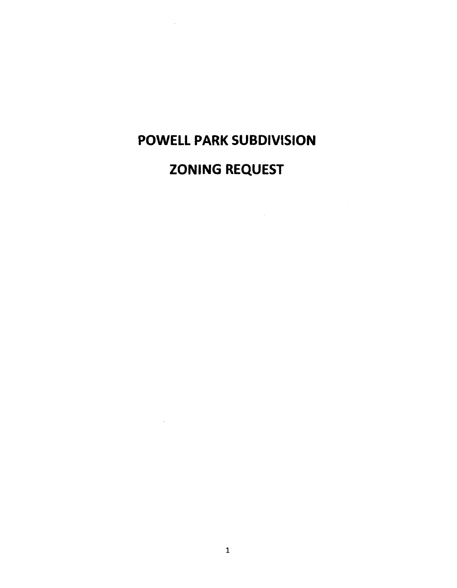# POWELL PARK SUBDIVISION

# ZONING REQUEST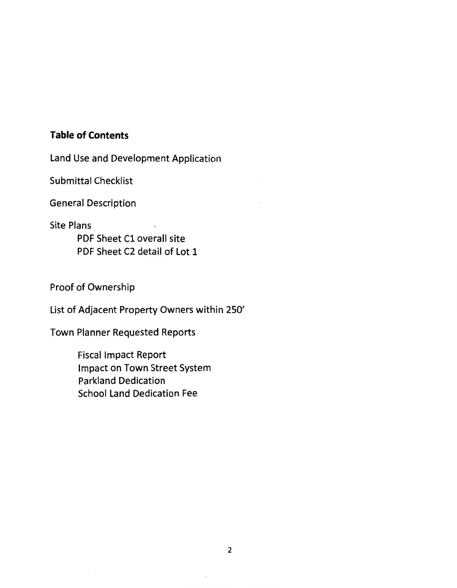# **Table of Contents**

Land Use and Development Application

Submittal Checklist

General Description

Site Plans

PDF Sheet C1 overall site PDF Sheet C2 detail of Lot 1

Proof of Ownership

List of Adjacent Property Owners within 250'

Town Planner Requested Reports

Fiscal Impact Report Impact on Town Street System Parkland Dedication School Land Dedication Fee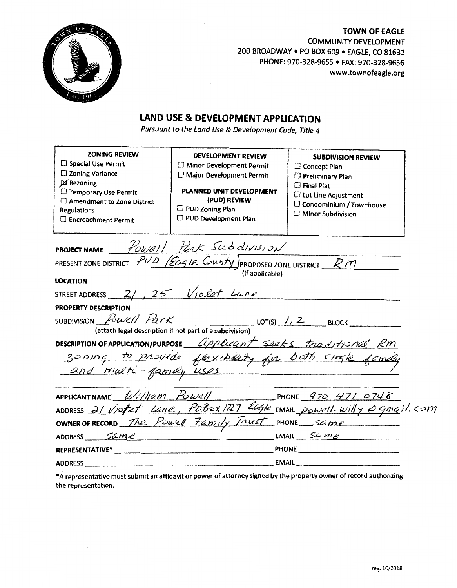

**TOWN OF EAGLE**  COMMUNITY DEVELOPMENT 200 BROADWAY • PO BOX 609 • EAGLE, CO 81631 PHONE: 970-328-9655 • FAX: 970-328-9656 www.townofeagle.org

# **LAND USE & DEVELOPMENT APPLICATION**

Pursuant to the Land Use & Development Code, Title 4

| <b>ZONING REVIEW</b>                                                                                                                                                                                                                                                                                                                                                                                                                |                                                       |                                                                        |  |
|-------------------------------------------------------------------------------------------------------------------------------------------------------------------------------------------------------------------------------------------------------------------------------------------------------------------------------------------------------------------------------------------------------------------------------------|-------------------------------------------------------|------------------------------------------------------------------------|--|
| Special Use Permit                                                                                                                                                                                                                                                                                                                                                                                                                  | <b>DEVELOPMENT REVIEW</b><br>Minor Development Permit | <b>SUBDIVISION REVIEW</b>                                              |  |
| □ Zoning Variance                                                                                                                                                                                                                                                                                                                                                                                                                   | Major Development Permit                              | C Concept Plan                                                         |  |
| X Rezoning                                                                                                                                                                                                                                                                                                                                                                                                                          |                                                       | <b>C</b> Preliminary Plan                                              |  |
| Temporary Use Permit                                                                                                                                                                                                                                                                                                                                                                                                                | PLANNED UNIT DEVELOPMENT                              | $\Box$ Final Plat                                                      |  |
| $\Box$ Amendment to Zone District                                                                                                                                                                                                                                                                                                                                                                                                   | (PUD) REVIEW                                          | <b>C</b> Lot Line Adjustment<br>$\Box$ Condominium / Townhouse         |  |
| Regulations                                                                                                                                                                                                                                                                                                                                                                                                                         | PUD Zoning Plan                                       | Minor Subdivision                                                      |  |
| □ Encroachment Permit                                                                                                                                                                                                                                                                                                                                                                                                               | D PUD Development Plan                                |                                                                        |  |
|                                                                                                                                                                                                                                                                                                                                                                                                                                     |                                                       |                                                                        |  |
| PROJECT NAME FOWEIT PORK SUB CIVISION                                                                                                                                                                                                                                                                                                                                                                                               |                                                       |                                                                        |  |
| PRESENT ZONE DISTRICT $PUD$ (Eagle County) PROPOSED ZONE DISTRICT RM                                                                                                                                                                                                                                                                                                                                                                |                                                       |                                                                        |  |
| (if applicable)                                                                                                                                                                                                                                                                                                                                                                                                                     |                                                       |                                                                        |  |
| <b>LOCATION</b>                                                                                                                                                                                                                                                                                                                                                                                                                     |                                                       |                                                                        |  |
| STREET ADDRESS $2/1, 25$ Violet Lane                                                                                                                                                                                                                                                                                                                                                                                                |                                                       |                                                                        |  |
| <b>PROPERTY DESCRIPTION</b>                                                                                                                                                                                                                                                                                                                                                                                                         |                                                       |                                                                        |  |
| SUBDIVISION Powell Park<br>$LOT(S)$ / $/2$ BLOCK                                                                                                                                                                                                                                                                                                                                                                                    |                                                       |                                                                        |  |
| (attach legal description if not part of a subdivision)                                                                                                                                                                                                                                                                                                                                                                             |                                                       |                                                                        |  |
| DESCRIPTION OF APPLICATION/PURPOSE <i>Coplucent</i> Seeks trad/tionel Rm                                                                                                                                                                                                                                                                                                                                                            |                                                       |                                                                        |  |
|                                                                                                                                                                                                                                                                                                                                                                                                                                     |                                                       |                                                                        |  |
| zoning to provide flexibility for both single family                                                                                                                                                                                                                                                                                                                                                                                |                                                       |                                                                        |  |
|                                                                                                                                                                                                                                                                                                                                                                                                                                     |                                                       |                                                                        |  |
|                                                                                                                                                                                                                                                                                                                                                                                                                                     |                                                       |                                                                        |  |
| APPLICANT NAME $\llbracket \sqrt{U/2} \rrbracket$ $\llbracket \sqrt{U/2} \rrbracket$ $\llbracket \sqrt{U/2} \rrbracket$ $\llbracket \sqrt{U/2} \rrbracket$ $\llbracket \sqrt{U/2} \rrbracket$ $\llbracket \sqrt{U/2} \rrbracket$ $\llbracket \sqrt{U/2} \rrbracket$ $\llbracket \sqrt{U/2} \rrbracket$ $\llbracket \sqrt{U/2} \rrbracket$ $\llbracket \sqrt{U/2} \rrbracket$ $\llbracket \sqrt{U/2} \rrbracket$ $\llbracket \sqrt{$ |                                                       |                                                                        |  |
|                                                                                                                                                                                                                                                                                                                                                                                                                                     |                                                       | ADDRESS 21 Viofet Lane, PDBOX 1227 Eugle EMAIL POWELL Willy egnail.com |  |
|                                                                                                                                                                                                                                                                                                                                                                                                                                     |                                                       |                                                                        |  |
| ADDRESS $Same$                                                                                                                                                                                                                                                                                                                                                                                                                      |                                                       | $EMAIL$ $SAme$                                                         |  |
|                                                                                                                                                                                                                                                                                                                                                                                                                                     |                                                       |                                                                        |  |
|                                                                                                                                                                                                                                                                                                                                                                                                                                     |                                                       |                                                                        |  |

\*A representative must submit an affidavit or power of attorney signed by the property owner of record authorizing the representation.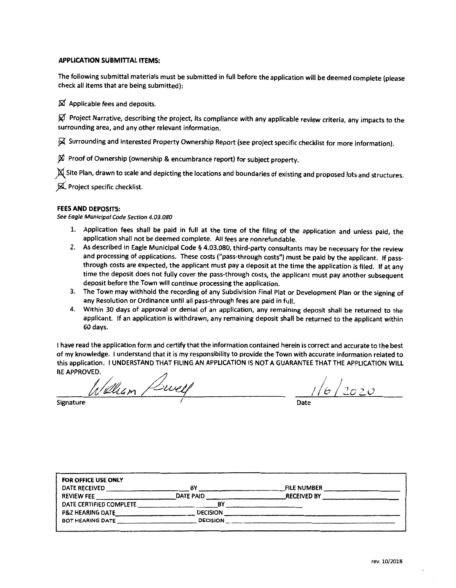#### APPLICATION SUBMITTAL ITEMS:

The following submittal materials must be submitted in full before the application will be deemed complete (please check all items that are being submitted):

 $\boxtimes$  Applicable fees and deposits.

 $\varnothing$  Project Narrative, describing the project, its compliance with any applicable review criteria, any impacts to the surrounding area, and any other relevant information.

~- Surrounding and interested Property Ownership Report (see project specific checklist for more information).

 $\boxtimes$  Proof of Ownership (ownership & encumbrance report) for subject property.

 $\chi$  Site Plan, drawn to scale and depicting the locations and boundaries of existing and proposed lots and structures.

*j(* Project specific checklist.

#### FEES AND DEPOSITS:

See Eagle Municipal Code Section 4.03.080

- 1. Application fees shall be paid in full at the time of the filing of the application and unless paid, the application shall not be deemed complete. All fees are nonrefundable.
- 2. As described in Eagle Municipal Code § 4.03.080, third-party consultants may be necessary for the review and processing of applications. These costs ("pass-through costs") must be paid by the applicant. If passthrough costs are expected, the applicant must pay a deposit at the time the application is filed. If at any time the deposit does not fully cover the pass-through costs, the applicant must pay another subsequent deposit before the Town will continue processing the application.
- 3. The Town may withhold the recording of any Subdivision Final Plat or Development Plan or the signing of any Resolution or Ordinance until all pass-through fees are paid in full.
- 4. Within 30 days of approval or denial of an application, any remaining deposit shall be returned to the applicant. If an application is withdrawn, any remaining deposit shall be returned to the applicant within 60 days.

1 have read the application form and certify that the information contained herein is correct and accurate to the best of my knowledge. I understand that it is my responsibility to provide the Town with accurate information related to this application. I UNDERSTAND THAT FILING AN APPLICATION IS NOT A GUARANTEE THAT THE APPLICATION WILL<br>BE APPROVED.<br>*A Martin Martin Martin Martin Martin Martin Martin Martin Martin Martin Martin Martin Martin Martin* 

 $\frac{1}{2020}$ 

| FOR OFFICE USE ONLY     |                 |                    |
|-------------------------|-----------------|--------------------|
| DATE RECEIVED           | B١              | <b>FILE NUMBER</b> |
| <b>REVIEW FEE</b>       | DATE PAID       | <b>RECEIVED BY</b> |
| DATE CERTIFIED COMPLETE | B٧              |                    |
| P&Z HEARING DATE        | <b>DECISION</b> |                    |
| BOT HEARING DATE        | <b>DECISION</b> |                    |
|                         |                 |                    |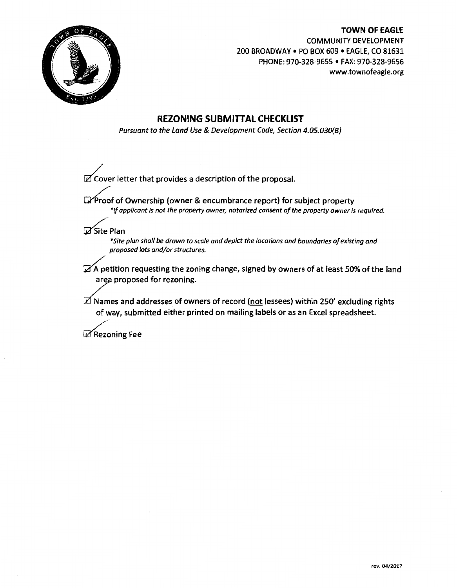

**TOWN OF EAGLE**  COMMUNITY DEVELOPMENT 200 BROADWAY • PO BOX 609 • EAGLE, CO 81631 PHONE: 970-328-9655 • FAX: 970-328-9656 www.townofeagle.org

## **REZONING SUBMITIAL CHECKLIST**

Pursuant to the Land Use & Development Code, Section 4.05.030{8)

 $\mathbb Z$  Cover letter that provides a description of the proposal.

 $\mathbb{Z}$  Proof of Ownership (owner & encumbrance report) for subject property *\*1/ applicant is not the property owner., notarized consent of the property owner is required.* 

**Z**Site Plan

*\*Site plan shall be drawn to scale and depict the locations and boundaries of existing and proposed lots and/or structures.* 

 $\mathbb Z$  A petition requesting the zoning change, signed by owners of at least 50% of the land area proposed for rezoning.

 $\mathbb Z$  Names and addresses of owners of record (not lessees) within 250' excluding rights of way, submitted either printed on mailing labels or as an Excel spreadsheet.

 $\mathbb Z$  Rezoning Fee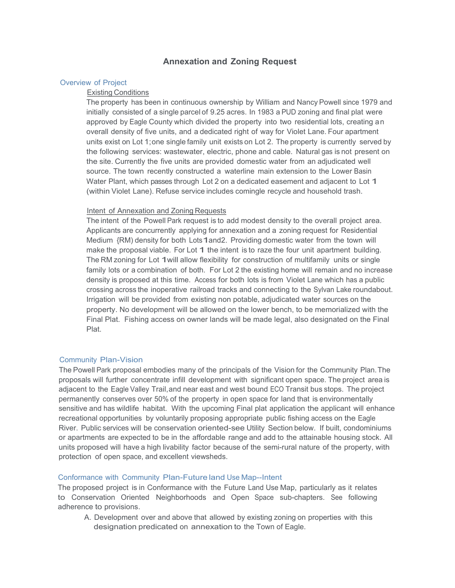### **Annexation and Zoning Request**

#### Overview of Project

#### Existing Conditions

The property has been in continuous ownership by William and Nancy Powell since 1979 and initially consisted of a single parcel of 9.25 acres. In 1983 a PUD zoning and final plat were approved by Eagle County which divided the property into two residential lots, creating an overall density of five units, and a dedicated right of way for Violet Lane. Four apartment units exist on Lot 1;one single family unit exists on Lot 2. The property is currently served by the following services: wastewater, electric, phone and cable. Natural gas is not present on the site. Currently the five units are provided domestic water from an adjudicated well source. The town recently constructed a waterline main extension to the Lower Basin Water Plant, which passes through Lot 2 on a dedicated easement and adjacent to Lot 1 (within Violet Lane). Refuse service includes comingle recycle and household trash.

#### Intent of Annexation and Zoning Requests

The intent of the Powell Park request is to add modest density to the overall project area. Applicants are concurrently applying for annexation and a zoning request for Residential Medium {RM) density for both Lots1and2. Providing domestic water from the town will make the proposal viable. For Lot 1 the intent is to raze the four unit apartment building. The RM zoning for Lot 1will allow flexibility for construction of multifamily units or single family lots or a combination of both. For Lot 2 the existing home will remain and no increase density is proposed at this time. Access for both lots is from Violet Lane which has a public crossing across the inoperative railroad tracks and connecting to the Sylvan Lake roundabout. Irrigation will be provided from existing non potable, adjudicated water sources on the property. No development will be allowed on the lower bench, to be memorialized with the Final Plat. Fishing access on owner lands will be made legal, also designated on the Final Plat.

#### Community Plan-Vision

The Powell Park proposal embodies many of the principals of the Vision for the Community Plan.The proposals will further concentrate infill development with significant open space. The project area is adjacent to the Eagle Valley Trail,and near east and west bound ECO Transit bus stops. The project permanently conserves over 50% of the property in open space for land that is environmentally sensitive and has wildlife habitat. With the upcoming Final plat application the applicant will enhance recreational opportunities by voluntarily proposing appropriate public fishing access on the Eagle River. Public services will be conservation oriented-see Utility Section below. If built, condominiums or apartments are expected to be in the affordable range and add to the attainable housing stock. All units proposed will have a high livability factor because of the semi-rural nature of the property, with protection of open space, and excellent viewsheds.

#### Conformance with Community Plan-Future land Use Map--Intent

The proposed project is in Conformance with the Future Land Use Map, particularly as it relates to Conservation Oriented Neighborhoods and Open Space sub-chapters. See following adherence to provisions.

A. Development over and above that allowed by existing zoning on properties with this designation predicated on annexation to the Town of Eagle.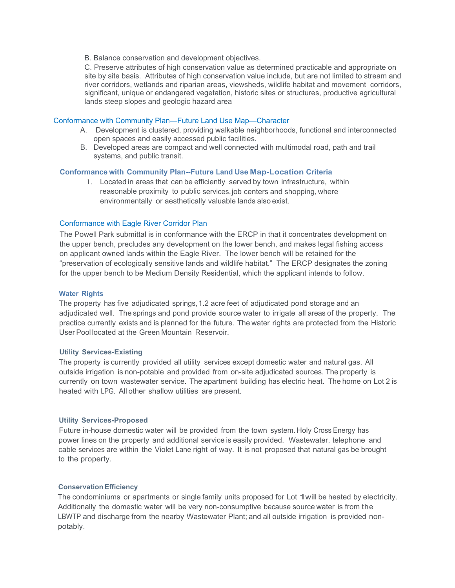B. Balance conservation and development objectives.

C. Preserve attributes of high conservation value as determined practicable and appropriate on site by site basis. Attributes of high conservation value include, but are not limited to stream and river corridors, wetlands and riparian areas, viewsheds, wildlife habitat and movement corridors, significant, unique or endangered vegetation, historic sites or structures, productive agricultural lands steep slopes and geologic hazard area

#### Conformance with Community Plan—Future Land Use Map—Character

- A. Development is clustered, providing walkable neighborhoods, functional and interconnected open spaces and easily accessed public facilities.
- B. Developed areas are compact and well connected with multimodal road, path and trail systems, and public transit.

#### **Conformance with Community Plan--Future Land Use Map-Location Criteria**

1. Located in areas that can be efficiently served by town infrastructure, within reasonable proximity to public services, job centers and shopping, where environmentally or aesthetically valuable lands also exist.

#### Conformance with Eagle River Corridor Plan

The Powell Park submittal is in conformance with the ERCP in that it concentrates development on the upper bench, precludes any development on the lower bench, and makes legal fishing access on applicant owned lands within the Eagle River. The lower bench will be retained for the "preservation of ecologically sensitive lands and wildlife habitat." The ERCP designates the zoning for the upper bench to be Medium Density Residential, which the applicant intends to follow.

#### **Water Rights**

The property has five adjudicated springs,1.2 acre feet of adjudicated pond storage and an adjudicated well. The springs and pond provide source water to irrigate all areas of the property. The practice currently exists and is planned for the future. The water rights are protected from the Historic User Pool located at the Green Mountain Reservoir.

#### **Utility Services-Existing**

The property is currently provided all utility services except domestic water and natural gas. All outside irrigation is non-potable and provided from on-site adjudicated sources. The property is currently on town wastewater service. The apartment building has electric heat. The home on Lot 2 is heated with LPG. All other shallow utilities are present.

#### **Utility Services-Proposed**

Future in-house domestic water will be provided from the town system. Holy Cross Energy has power lines on the property and additional service is easily provided. Wastewater, telephone and cable services are within the Violet Lane right of way. It is not proposed that natural gas be brought to the property.

#### **ConservationEfficiency**

The condominiums or apartments or single family units proposed for Lot 1will be heated by electricity. Additionally the domestic water will be very non-consumptive because source water is from the LBWTP and discharge from the nearby Wastewater Plant; and all outside irrigation is provided nonpotably.